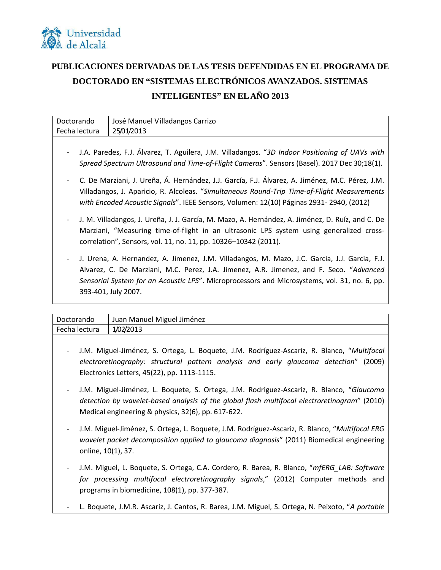

## **PUBLICACIONES DERIVADAS DE LAS TESIS DEFENDIDAS EN EL PROGRAMA DE DOCTORADO EN "SISTEMAS ELECTRÓNICOS AVANZADOS. SISTEMAS INTELIGENTES" EN EL AÑO 2013**

| Doctorando<br>José Manuel Villadangos Carrizo                                                                                                                                                                                                                                                                                               |  |
|---------------------------------------------------------------------------------------------------------------------------------------------------------------------------------------------------------------------------------------------------------------------------------------------------------------------------------------------|--|
|                                                                                                                                                                                                                                                                                                                                             |  |
| 25/01/2013<br>Fecha lectura                                                                                                                                                                                                                                                                                                                 |  |
| J.A. Paredes, F.J. Álvarez, T. Aguilera, J.M. Villadangos. "3D Indoor Positioning of UAVs with<br>Spread Spectrum Ultrasound and Time-of-Flight Cameras". Sensors (Basel). 2017 Dec 30;18(1).                                                                                                                                               |  |
| C. De Marziani, J. Ureña, Á. Hernández, J.J. García, F.J. Álvarez, A. Jiménez, M.C. Pérez, J.M.<br>Villadangos, J. Aparicio, R. Alcoleas. "Simultaneous Round-Trip Time-of-Flight Measurements<br>with Encoded Acoustic Signals". IEEE Sensors, Volumen: 12(10) Páginas 2931- 2940, (2012)                                                  |  |
| J. M. Villadangos, J. Ureña, J. J. García, M. Mazo, A. Hernández, A. Jiménez, D. Ruíz, and C. De<br>Marziani, "Measuring time-of-flight in an ultrasonic LPS system using generalized cross-<br>correlation", Sensors, vol. 11, no. 11, pp. 10326-10342 (2011).                                                                             |  |
| J. Urena, A. Hernandez, A. Jimenez, J.M. Villadangos, M. Mazo, J.C. Garcia, J.J. Garcia, F.J.<br>$\overline{\phantom{a}}$<br>Alvarez, C. De Marziani, M.C. Perez, J.A. Jimenez, A.R. Jimenez, and F. Seco. "Advanced<br>Sensorial System for an Acoustic LPS". Microprocessors and Microsystems, vol. 31, no. 6, pp.<br>393-401, July 2007. |  |

| Doctorando    | Juan Manuel Miguel Jiménez |
|---------------|----------------------------|
| Fecha lectura | 1/02/2013                  |
|               |                            |

- J.M. Miguel-Jiménez, S. Ortega, L. Boquete, J.M. Rodríguez-Ascariz, R. Blanco, "*Multifocal electroretinography: structural pattern analysis and early glaucoma detection*" (2009) Electronics Letters, 45(22), pp. 1113-1115.
- J.M. Miguel-Jiménez, L. Boquete, S. Ortega, J.M. Rodriguez-Ascariz, R. Blanco, "*Glaucoma detection by wavelet-based analysis of the global flash multifocal electroretinogram*" (2010) Medical engineering & physics, 32(6), pp. 617-622.
- J.M. Miguel-Jiménez, S. Ortega, L. Boquete, J.M. Rodríguez-Ascariz, R. Blanco, "*Multifocal ERG wavelet packet decomposition applied to glaucoma diagnosis*" (2011) Biomedical engineering online, 10(1), 37.
- J.M. Miguel, L. Boquete, S. Ortega, C.A. Cordero, R. Barea, R. Blanco, "*mfERG\_LAB: Software for processing multifocal electroretinography signals*," (2012) Computer methods and programs in biomedicine, 108(1), pp. 377-387.
- L. Boquete, J.M.R. Ascariz, J. Cantos, R. Barea, J.M. Miguel, S. Ortega, N. Peixoto, "*A portable*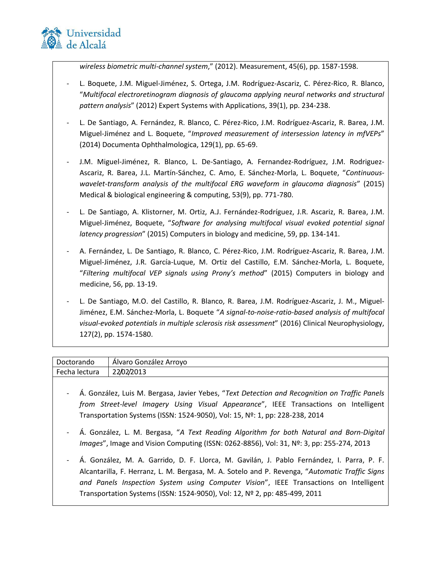

*wireless biometric multi-channel system*," (2012). Measurement, 45(6), pp. 1587-1598.

- L. Boquete, J.M. Miguel-Jiménez, S. Ortega, J.M. Rodríguez-Ascariz, C. Pérez-Rico, R. Blanco, "*Multifocal electroretinogram diagnosis of glaucoma applying neural networks and structural pattern analysis*" (2012) Expert Systems with Applications, 39(1), pp. 234-238.
- L. De Santiago, A. Fernández, R. Blanco, C. Pérez-Rico, J.M. Rodríguez-Ascariz, R. Barea, J.M. Miguel-Jiménez and L. Boquete, "*Improved measurement of intersession latency in mfVEPs*" (2014) Documenta Ophthalmologica, 129(1), pp. 65-69.
- J.M. Miguel-Jiménez, R. Blanco, L. De-Santiago, A. Fernandez-Rodríguez, J.M. Rodriguez-Ascariz, R. Barea, J.L. Martín-Sánchez, C. Amo, E. Sánchez-Morla, L. Boquete, "*Continuouswavelet-transform analysis of the multifocal ERG waveform in glaucoma diagnosis*" (2015) Medical & biological engineering & computing, 53(9), pp. 771-780.
- L. De Santiago, A. Klistorner, M. Ortiz, A.J. Fernández-Rodríguez, J.R. Ascariz, R. Barea, J.M. Miguel-Jiménez, Boquete, "*Software for analysing multifocal visual evoked potential signal latency progression*" (2015) Computers in biology and medicine, 59, pp. 134-141.
- A. Fernández, L. De Santiago, R. Blanco, C. Pérez-Rico, J.M. Rodríguez-Ascariz, R. Barea, J.M. Miguel-Jiménez, J.R. García-Luque, M. Ortiz del Castillo, E.M. Sánchez-Morla, L. Boquete, "*Filtering multifocal VEP signals using Prony's method*" (2015) Computers in biology and medicine, 56, pp. 13-19.
- L. De Santiago, M.O. del Castillo, R. Blanco, R. Barea, J.M. Rodríguez-Ascariz, J. M., Miguel-Jiménez, E.M. Sánchez-Morla, L. Boquete "*A signal-to-noise-ratio-based analysis of multifocal visual-evoked potentials in multiple sclerosis risk assessment*" (2016) Clinical Neurophysiology, 127(2), pp. 1574-1580.

| Doctorando    | - Alvaro González Arroyo |
|---------------|--------------------------|
| Fecha lectura | 22/02/2013               |

- Á. González, Luis M. Bergasa, Javier Yebes, "*Text Detection and Recognition on Traffic Panels from Street-level Imagery Using Visual Appearance*", IEEE Transactions on Intelligent Transportation Systems (ISSN: 1524-9050), Vol: 15, Nº: 1, pp: 228-238, 2014
- Á. González, L. M. Bergasa, "*A Text Reading Algorithm for both Natural and Born-Digital Images*", Image and Vision Computing (ISSN: 0262-8856), Vol: 31, Nº: 3, pp: 255-274, 2013
- Á. González, M. A. Garrido, D. F. Llorca, M. Gavilán, J. Pablo Fernández, I. Parra, P. F. Alcantarilla, F. Herranz, L. M. Bergasa, M. A. Sotelo and P. Revenga, "*Automatic Traffic Signs and Panels Inspection System using Computer Vision*", IEEE Transactions on Intelligent Transportation Systems (ISSN: 1524-9050), Vol: 12, Nº 2, pp: 485-499, 2011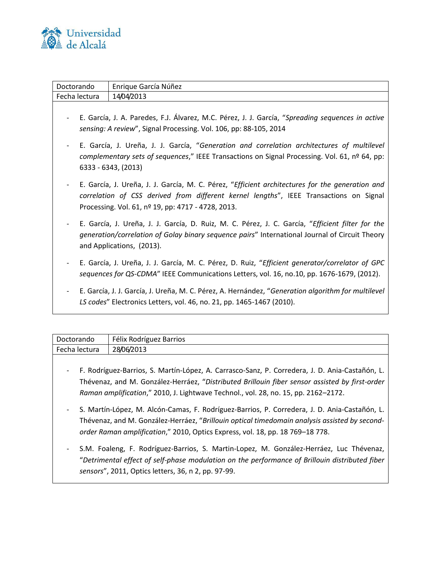

| Doctorando               | Enrique García Núñez                                                                                                                                                                                                                            |
|--------------------------|-------------------------------------------------------------------------------------------------------------------------------------------------------------------------------------------------------------------------------------------------|
| Fecha lectura            | 14/04/2013                                                                                                                                                                                                                                      |
|                          | E. García, J. A. Paredes, F.J. Álvarez, M.C. Pérez, J. J. García, "Spreading sequences in active<br>sensing: A review", Signal Processing. Vol. 106, pp: 88-105, 2014                                                                           |
| $\overline{\phantom{a}}$ | E. García, J. Ureña, J. J. García, "Generation and correlation architectures of multilevel<br>complementary sets of sequences," IEEE Transactions on Signal Processing. Vol. 61, nº 64, pp:<br>6333 - 6343, (2013)                              |
|                          | E. García, J. Ureña, J. J. García, M. C. Pérez, "Efficient architectures for the generation and<br>correlation of CSS derived from different kernel lengths", IEEE Transactions on Signal<br>Processing. Vol. 61, nº 19, pp: 4717 - 4728, 2013. |
|                          | E. García, J. Ureña, J. J. García, D. Ruiz, M. C. Pérez, J. C. García, "Efficient filter for the<br>generation/correlation of Golay binary sequence pairs" International Journal of Circuit Theory<br>and Applications, (2013).                 |
|                          | E. García, J. Ureña, J. J. García, M. C. Pérez, D. Ruiz, "Efficient generator/correlator of GPC<br>sequences for QS-CDMA" IEEE Communications Letters, vol. 16, no.10, pp. 1676-1679, (2012).                                                   |
|                          | E. García, J. J. García, J. Ureña, M. C. Pérez, A. Hernández, "Generation algorithm for multilevel<br>LS codes" Electronics Letters, vol. 46, no. 21, pp. 1465-1467 (2010).                                                                     |
|                          |                                                                                                                                                                                                                                                 |

| Doctorando               | Félix Rodríguez Barrios                                                                                                                                                                                                                                                                |
|--------------------------|----------------------------------------------------------------------------------------------------------------------------------------------------------------------------------------------------------------------------------------------------------------------------------------|
| Fecha lectura            | 28/06/2013                                                                                                                                                                                                                                                                             |
| $\overline{\phantom{a}}$ | F. Rodríguez-Barrios, S. Martín-López, A. Carrasco-Sanz, P. Corredera, J. D. Ania-Castañón, L.<br>Thévenaz, and M. González-Herráez, "Distributed Brillouin fiber sensor assisted by first-order<br>Raman amplification," 2010, J. Lightwave Technol., vol. 28, no. 15, pp. 2162-2172. |
| $\overline{\phantom{a}}$ | S. Martín-López, M. Alcón-Camas, F. Rodríguez-Barrios, P. Corredera, J. D. Ania-Castañón, L.<br>Thévenaz, and M. González-Herráez, "Brillouin optical timedomain analysis assisted by second-<br>order Raman amplification," 2010, Optics Express, vol. 18, pp. 18 769-18 778.         |
| -                        | S.M. Foaleng, F. Rodríguez-Barrios, S. Martin-Lopez, M. González-Herráez, Luc Thévenaz,<br>"Detrimental effect of self-phase modulation on the performance of Brillouin distributed fiber<br>sensors", 2011, Optics letters, 36, n 2, pp. 97-99.                                       |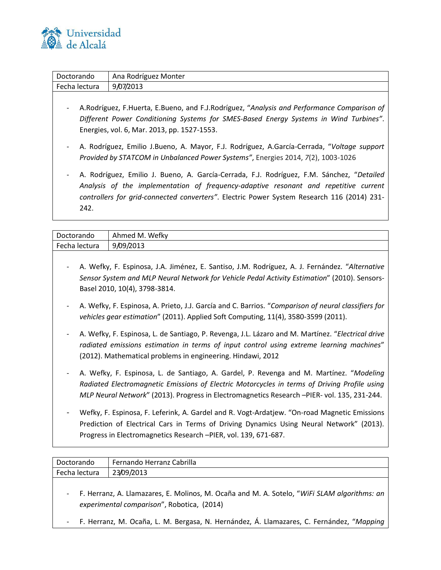

| Doctorando     | Ana Rodríguez Monter                                                                                                                                                                                                                                                                                                                                                                                                                                                                                                                                                                                                                                                                                         |
|----------------|--------------------------------------------------------------------------------------------------------------------------------------------------------------------------------------------------------------------------------------------------------------------------------------------------------------------------------------------------------------------------------------------------------------------------------------------------------------------------------------------------------------------------------------------------------------------------------------------------------------------------------------------------------------------------------------------------------------|
| Fecha lectura  | 9/07/2013                                                                                                                                                                                                                                                                                                                                                                                                                                                                                                                                                                                                                                                                                                    |
| -<br>-<br>242. | A. Rodríguez, F. Huerta, E. Bueno, and F. J. Rodríguez, "Analysis and Performance Comparison of<br>Different Power Conditioning Systems for SMES-Based Energy Systems in Wind Turbines".<br>Energies, vol. 6, Mar. 2013, pp. 1527-1553.<br>A. Rodríguez, Emilio J.Bueno, A. Mayor, F.J. Rodríguez, A.García-Cerrada, "Voltage support<br>Provided by STATCOM in Unbalanced Power Systems", Energies 2014, 7(2), 1003-1026<br>A. Rodríguez, Emilio J. Bueno, A. García-Cerrada, F.J. Rodríguez, F.M. Sánchez, "Detailed<br>Analysis of the implementation of frequency-adaptive resonant and repetitive current<br>controllers for grid-connected converters". Electric Power System Research 116 (2014) 231- |

| Doctorando    | Ahmed M. Wefky                                                                                                                                                                                                                                                                         |
|---------------|----------------------------------------------------------------------------------------------------------------------------------------------------------------------------------------------------------------------------------------------------------------------------------------|
| Fecha lectura | 9/09/2013                                                                                                                                                                                                                                                                              |
|               | A. Wefky, F. Espinosa, J.A. Jiménez, E. Santiso, J.M. Rodríguez, A. J. Fernández. "Alternative<br>Sensor System and MLP Neural Network for Vehicle Pedal Activity Estimation" (2010). Sensors-<br>Basel 2010, 10(4), 3798-3814.                                                        |
|               | A. Wefky, F. Espinosa, A. Prieto, J.J. García and C. Barrios. "Comparison of neural classifiers for<br>vehicles gear estimation" (2011). Applied Soft Computing, 11(4), 3580-3599 (2011).                                                                                              |
|               | A. Wefky, F. Espinosa, L. de Santiago, P. Revenga, J.L. Lázaro and M. Martínez. "Electrical drive<br>radiated emissions estimation in terms of input control using extreme learning machines"<br>(2012). Mathematical problems in engineering. Hindawi, 2012                           |
|               | A. Wefky, F. Espinosa, L. de Santiago, A. Gardel, P. Revenga and M. Martínez. "Modeling<br>Radiated Electromagnetic Emissions of Electric Motorcycles in terms of Driving Profile using<br>MLP Neural Network" (2013). Progress in Electromagnetics Research -PIER- vol. 135, 231-244. |
|               | Wefky E Esninosa E Leferink A Gardel and R Vogt-Ardatiew "On-road Magnetic Emissions                                                                                                                                                                                                   |

Wefky, F. Espinosa, F. Leferink, A. Gardel and R. Vogt-Ardatjew. "On-road Magnetic Emissions Prediction of Electrical Cars in Terms of Driving Dynamics Using Neural Network" (2013). Progress in Electromagnetics Research –PIER, vol. 139, 671-687.

| Doctorando    | Fernando Herranz Cabrilla                                                                     |
|---------------|-----------------------------------------------------------------------------------------------|
| Fecha lectura | 23/09/2013                                                                                    |
|               |                                                                                               |
|               | - F. Herranz, A. Llamazares, E. Molinos, M. Ocaña and M. A. Sotelo, "WiFi SLAM algorithms: an |

- *experimental comparison*", Robotica, (2014)
- F. Herranz, M. Ocaña, L. M. Bergasa, N. Hernández, Á. Llamazares, C. Fernández, "*Mapping*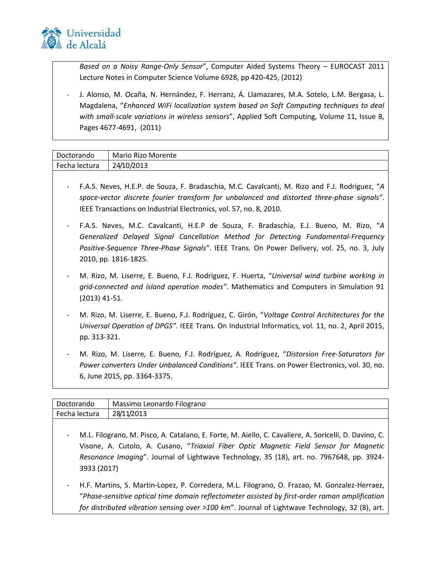

3933 (2017)

*Based on a Noisy Range-Only Sensor*", Computer Aided Systems Theory – EUROCAST 2011 Lecture Notes in Computer Science Volume 6928, pp 420-425, (2012)

J. Alonso, M. Ocaña, N. Hernández, F. Herranz, Á. Llamazares, M.A. Sotelo, L.M. Bergasa, L. Magdalena, "*Enhanced WiFi localization system based on Soft Computing techniques to deal with small-scale variations in wireless sensors*", Applied Soft Computing, Volume 11, Issue 8, Pages 4677-4691, (2011)

| Doctorando    | Mario Rizo Morente |
|---------------|--------------------|
| Fecha lectura | 24/10/2013         |

- F.A.S. Neves, H.E.P. de Souza, F. Bradaschia, M.C. Cavalcanti, M. Rizo and F.J. Rodriguez, "*A space-vector discrete fourier transform for unbalanced and distorted three-phase signals"*. IEEE Transactions on Industrial Electronics, vol. 57, no. 8, 2010.
- F.A.S. Neves, M.C. Cavalcanti, H.E.P de Souza, F. Bradaschia, E.J. Bueno, M. Rizo, "*A Generalized Delayed Signal Cancellation Method for Detecting Fundamental-Frequency Positive-Sequence Three-Phase Signals"*. IEEE Trans. On Power Delivery, vol. 25, no. 3, July 2010, pp. 1816-1825.
- M. Rizo, M. Liserre, E. Bueno, F.J. Rodríguez, F. Huerta, "*Universal wind turbine working in grid-connected and island operation modes"*. Mathematics and Computers in Simulation 91 (2013) 41-51.
- M. Rizo, M. Liserre, E. Bueno, F.J. Rodríguez, C. Girón, "*Voltage Control Architectures for the Universal Operation of DPGS".* IEEE Trans. On Industrial Informatics, vol. 11, no. 2, April 2015, pp. 313-321.
- M. Rizo, M. Liserre, E. Bueno, F.J. Rodríguez, A. Rodríguez, "*Distorsion Free-Saturators for Power converters Under Unbalanced Conditions"*. IEEE Trans. on Power Electronics, vol. 30, no. 6, June 2015, pp. 3364-3375.

| Doctorando    | Massimo Leonardo Filograno                                                                                                                                                                        |
|---------------|---------------------------------------------------------------------------------------------------------------------------------------------------------------------------------------------------|
| Fecha lectura | 28/11/2013                                                                                                                                                                                        |
|               | - M.L. Filograno, M. Pisco, A. Catalano, E. Forte, M. Aiello, C. Cavaliere, A. Soricelli, D. Davino, C.<br>Visone, A. Cutolo, A. Cusano, "Triaxial Fiber Optic Magnetic Field Sensor for Magnetic |
|               | Resonance Imaging". Journal of Lightwave Technology, 35 (18), art. no. 7967648, pp. 3924-                                                                                                         |

H.F. Martins, S. Martin-Lopez, P. Corredera, M.L. Filograno, O. Frazao, M. Gonzalez-Herraez, "*Phase-sensitive optical time domain reflectometer assisted by first-order raman amplification for distributed vibration sensing over >100 km*". Journal of Lightwave Technology, 32 (8), art.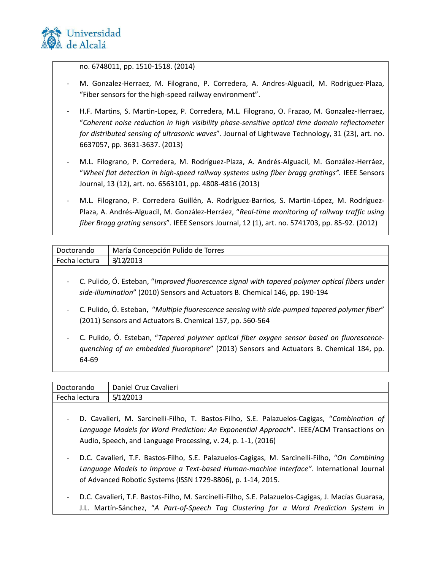

no. 6748011, pp. 1510-1518. (2014)

- M. Gonzalez-Herraez, M. Filograno, P. Corredera, A. Andres-Alguacil, M. Rodriguez-Plaza, "Fiber sensors for the high-speed railway environment".
- H.F. Martins, S. Martin-Lopez, P. Corredera, M.L. Filograno, O. Frazao, M. Gonzalez-Herraez, "*Coherent noise reduction in high visibility phase-sensitive optical time domain reflectometer for distributed sensing of ultrasonic waves*". Journal of Lightwave Technology, 31 (23), art. no. 6637057, pp. 3631-3637. (2013)
- M.L. Filograno, P. Corredera, M. Rodríguez-Plaza, A. Andrés-Alguacil, M. González-Herráez, "*Wheel flat detection in high-speed railway systems using fiber bragg gratings".* IEEE Sensors Journal, 13 (12), art. no. 6563101, pp. 4808-4816 (2013)
- M.L. Filograno, P. Corredera Guillén, A. Rodríguez-Barrios, S. Martin-López, M. Rodríguez-Plaza, A. Andrés-Alguacil, M. González-Herráez, "*Real-time monitoring of railway traffic using fiber Bragg grating sensors*". IEEE Sensors Journal, 12 (1), art. no. 5741703, pp. 85-92. (2012)

| l Doctorando  | María Concepción Pulido de Torres |
|---------------|-----------------------------------|
| Fecha lectura | 3/12/2013                         |
|               |                                   |

- C. Pulido, Ó. Esteban, "*Improved fluorescence signal with tapered polymer optical fibers under side-illumination*" (2010) Sensors and Actuators B. Chemical 146, pp. 190-194
- C. Pulido, Ó. Esteban, "*Multiple fluorescence sensing with side-pumped tapered polymer fiber*" (2011) Sensors and Actuators B. Chemical 157, pp. 560-564
- C. Pulido, Ó. Esteban, "*Tapered polymer optical fiber oxygen sensor based on fluorescencequenching of an embedded fluorophore*" (2013) Sensors and Actuators B. Chemical 184, pp. 64-69

| Doctorando    | Daniel Cruz Cavalieri                                                                                  |
|---------------|--------------------------------------------------------------------------------------------------------|
| Fecha lectura | 5/12/2013                                                                                              |
|               |                                                                                                        |
|               | - D. Cavalieri, M. Sarcinelli-Filho, T. Bastos-Filho, S.E. Palazuelos-Cagigas, "Combination of         |
|               | Languerano Aledele fer Werd Dredistion, An Europential Annuarab <sup>y</sup> JEEE/ACAA Troppentione on |

- *Language Models for Word Prediction: An Exponential Approach*". IEEE/ACM Transactions on Audio, Speech, and Language Processing, v. 24, p. 1-1, (2016)
- D.C. Cavalieri, T.F. Bastos-Filho, S.E. Palazuelos-Cagigas, M. Sarcinelli-Filho, "*On Combining Language Models to Improve a Text-based Human-machine Interface".* International Journal of Advanced Robotic Systems (ISSN 1729-8806), p. 1-14, 2015.
- D.C. Cavalieri, T.F. Bastos-Filho, M. Sarcinelli-Filho, S.E. Palazuelos-Cagigas, J. Macías Guarasa, J.L. Martín-Sánchez, "*A Part-of-Speech Tag Clustering for a Word Prediction System in*